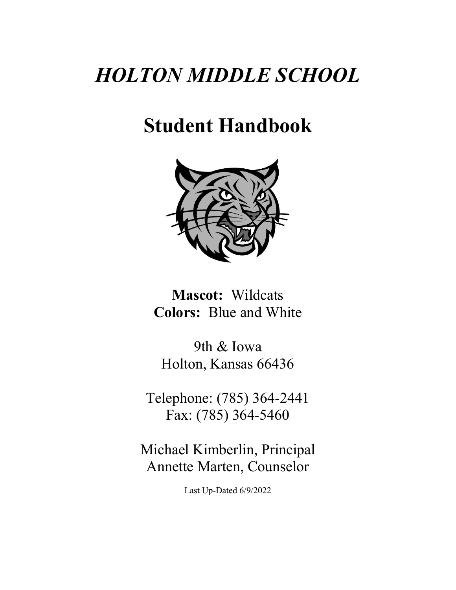# *HOLTON MIDDLE SCHOOL*

# **Student Handbook**



**Mascot:** Wildcats **Colors:** Blue and White

9th & Iowa Holton, Kansas 66436

Telephone: (785) 364-2441 Fax: (785) 364-5460

Michael Kimberlin, Principal Annette Marten, Counselor

Last Up-Dated 6/9/2022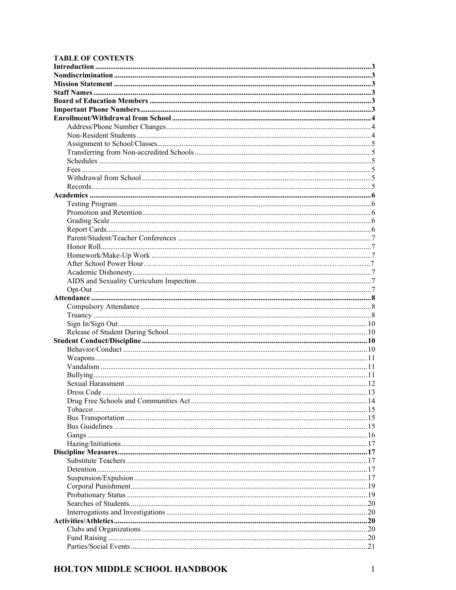#### **TABLE OF CONTENTS**

| .20 |
|-----|
|     |
| .20 |
|     |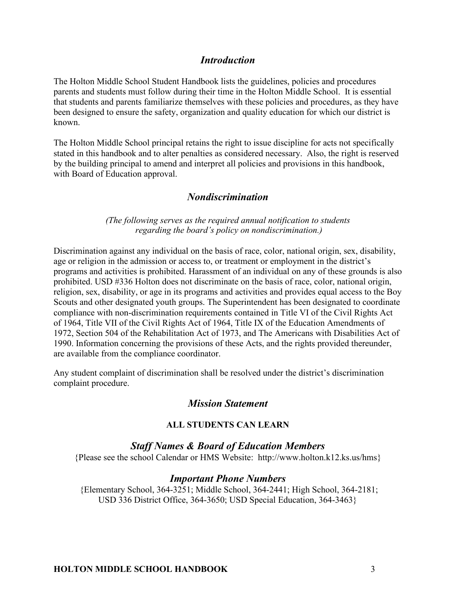# *Introduction*

The Holton Middle School Student Handbook lists the guidelines, policies and procedures parents and students must follow during their time in the Holton Middle School. It is essential that students and parents familiarize themselves with these policies and procedures, as they have been designed to ensure the safety, organization and quality education for which our district is known.

The Holton Middle School principal retains the right to issue discipline for acts not specifically stated in this handbook and to alter penalties as considered necessary. Also, the right is reserved by the building principal to amend and interpret all policies and provisions in this handbook, with Board of Education approval.

## *Nondiscrimination*

#### *(The following serves as the required annual notification to students regarding the board's policy on nondiscrimination.)*

Discrimination against any individual on the basis of race, color, national origin, sex, disability, age or religion in the admission or access to, or treatment or employment in the district's programs and activities is prohibited. Harassment of an individual on any of these grounds is also prohibited. USD #336 Holton does not discriminate on the basis of race, color, national origin, religion, sex, disability, or age in its programs and activities and provides equal access to the Boy Scouts and other designated youth groups. The Superintendent has been designated to coordinate compliance with non-discrimination requirements contained in Title VI of the Civil Rights Act of 1964, Title VII of the Civil Rights Act of 1964, Title IX of the Education Amendments of 1972, Section 504 of the Rehabilitation Act of 1973, and The Americans with Disabilities Act of 1990. Information concerning the provisions of these Acts, and the rights provided thereunder, are available from the compliance coordinator.

Any student complaint of discrimination shall be resolved under the district's discrimination complaint procedure.

## *Mission Statement*

#### **ALL STUDENTS CAN LEARN**

#### *Staff Names & Board of Education Members*

{Please see the school Calendar or HMS Website: http://www.holton.k12.ks.us/hms}

#### *Important Phone Numbers*

{Elementary School, 364-3251; Middle School, 364-2441; High School, 364-2181; USD 336 District Office, 364-3650; USD Special Education, 364-3463}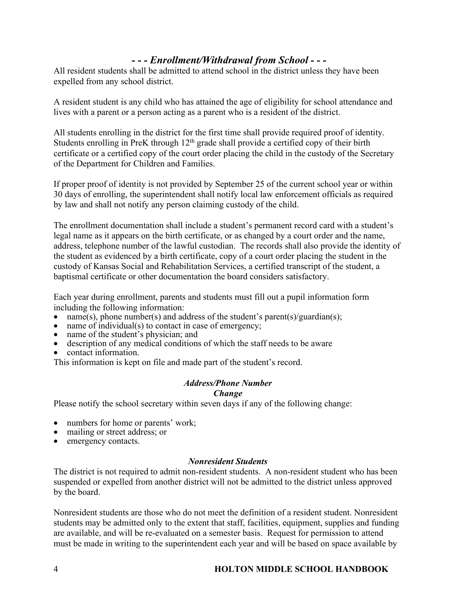# *- - - Enrollment/Withdrawal from School - - -*

All resident students shall be admitted to attend school in the district unless they have been expelled from any school district.

A resident student is any child who has attained the age of eligibility for school attendance and lives with a parent or a person acting as a parent who is a resident of the district.

All students enrolling in the district for the first time shall provide required proof of identity. Students enrolling in PreK through 12<sup>th</sup> grade shall provide a certified copy of their birth certificate or a certified copy of the court order placing the child in the custody of the Secretary of the Department for Children and Families.

If proper proof of identity is not provided by September 25 of the current school year or within 30 days of enrolling, the superintendent shall notify local law enforcement officials as required by law and shall not notify any person claiming custody of the child.

The enrollment documentation shall include a student's permanent record card with a student's legal name as it appears on the birth certificate, or as changed by a court order and the name, address, telephone number of the lawful custodian. The records shall also provide the identity of the student as evidenced by a birth certificate, copy of a court order placing the student in the custody of Kansas Social and Rehabilitation Services, a certified transcript of the student, a baptismal certificate or other documentation the board considers satisfactory.

Each year during enrollment, parents and students must fill out a pupil information form including the following information:

- name(s), phone number(s) and address of the student's parent(s)/guardian(s);
- name of individual(s) to contact in case of emergency;
- name of the student's physician; and
- description of any medical conditions of which the staff needs to be aware
- contact information.

This information is kept on file and made part of the student's record.

# *Address/Phone Number*

#### *Change*

Please notify the school secretary within seven days if any of the following change:

- numbers for home or parents' work:
- mailing or street address; or
- emergency contacts.

## *Nonresident Students*

The district is not required to admit non-resident students. A non-resident student who has been suspended or expelled from another district will not be admitted to the district unless approved by the board.

Nonresident students are those who do not meet the definition of a resident student. Nonresident students may be admitted only to the extent that staff, facilities, equipment, supplies and funding are available, and will be re-evaluated on a semester basis. Request for permission to attend must be made in writing to the superintendent each year and will be based on space available by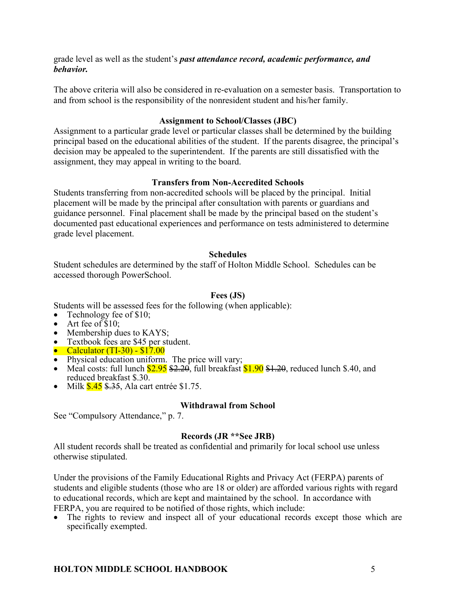grade level as well as the student's *past attendance record, academic performance, and behavior.*

The above criteria will also be considered in re-evaluation on a semester basis. Transportation to and from school is the responsibility of the nonresident student and his/her family.

#### **Assignment to School/Classes (JBC)**

Assignment to a particular grade level or particular classes shall be determined by the building principal based on the educational abilities of the student. If the parents disagree, the principal's decision may be appealed to the superintendent. If the parents are still dissatisfied with the assignment, they may appeal in writing to the board.

## **Transfers from Non-Accredited Schools**

Students transferring from non-accredited schools will be placed by the principal. Initial placement will be made by the principal after consultation with parents or guardians and guidance personnel. Final placement shall be made by the principal based on the student's documented past educational experiences and performance on tests administered to determine grade level placement.

## **Schedules**

Student schedules are determined by the staff of Holton Middle School. Schedules can be accessed thorough PowerSchool.

#### **Fees (JS)**

Students will be assessed fees for the following (when applicable):

- Technology fee of \$10;<br>• Art fee of \$10;
- 
- 
- 
- 
- 
- Membership dues to KAYS;<br>
 Textbook fees are \$45 per student.<br>
 Calculator (TI-30) \$17.00<br>
 Physical education uniform. The price will vary;<br>
 Meal costs: full lunch \$2.95 \$2.20, full breakfast \$1.90 \$1.20, reduced reduced breakfast \$.30.<br>• Milk \$.45 \$.35, Ala cart entrée \$1.75.
- 

#### **Withdrawal from School**

See "Compulsory Attendance," p. 7.

## **Records (JR \*\*See JRB)**

All student records shall be treated as confidential and primarily for local school use unless otherwise stipulated.

Under the provisions of the Family Educational Rights and Privacy Act (FERPA) parents of students and eligible students (those who are 18 or older) are afforded various rights with regard to educational records, which are kept and maintained by the school. In accordance with FERPA, you are required to be notified of those rights, which include:

The rights to review and inspect all of your educational records except those which are specifically exempted.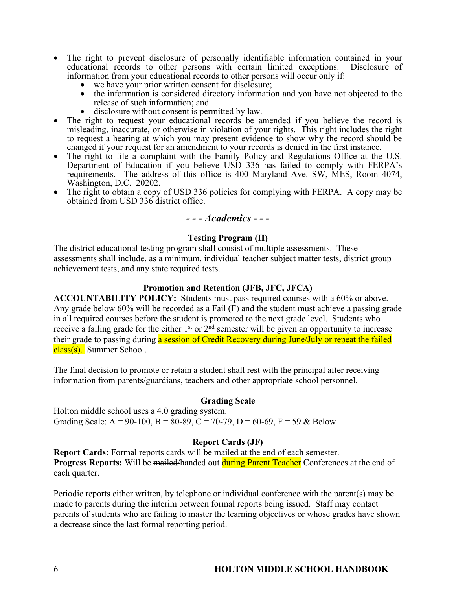- The right to prevent disclosure of personally identifiable information contained in your educational records to other persons with certain limited exceptions. Disclosure of information from your educational records to other persons will occur only if:
	-
	- we have your prior written consent for disclosure;<br>the information is considered directory information and you have not objected to the<br>release of such information; and
	-
- disclosure without consent is permitted by law.<br>• The right to request your educational records be amended if you believe the record is misleading, inaccurate, or otherwise in violation of your rights. This right includes the right to request a hearing at which you may present evidence to show why the record should be changed if your request for an amendment to your records is denied in the first instance.
- The right to file a complaint with the Family Policy and Regulations Office at the U.S. Department of Education if you believe USD 336 has failed to comply with FERPA's requirements. The address of this office is 400 Maryland Ave. SW, MES, Room 4074,
- Washington, D.C. 20202.<br>• The right to obtain a copy of USD 336 policies for complying with FERPA. A copy may be obtained from USD 336 district office.

# *- - - Academics - - -*

## **Testing Program (II)**

The district educational testing program shall consist of multiple assessments. These assessments shall include, as a minimum, individual teacher subject matter tests, district group achievement tests, and any state required tests.

## **Promotion and Retention (JFB, JFC, JFCA)**

**ACCOUNTABILITY POLICY:** Students must pass required courses with a 60% or above. Any grade below 60% will be recorded as a Fail (F) and the student must achieve a passing grade in all required courses before the student is promoted to the next grade level. Students who receive a failing grade for the either 1<sup>st</sup> or 2<sup>nd</sup> semester will be given an opportunity to increase their grade to passing during a session of Credit Recovery during June/July or repeat the failed class(s). Summer School.

The final decision to promote or retain a student shall rest with the principal after receiving information from parents/guardians, teachers and other appropriate school personnel.

## **Grading Scale**

Holton middle school uses a 4.0 grading system. Grading Scale: A = 90-100, B = 80-89, C = 70-79, D = 60-69, F = 59 & Below

## **Report Cards (JF)**

**Report Cards:** Formal reports cards will be mailed at the end of each semester. **Progress Reports:** Will be mailed/handed out during Parent Teacher Conferences at the end of each quarter.

Periodic reports either written, by telephone or individual conference with the parent(s) may be made to parents during the interim between formal reports being issued. Staff may contact parents of students who are failing to master the learning objectives or whose grades have shown a decrease since the last formal reporting period.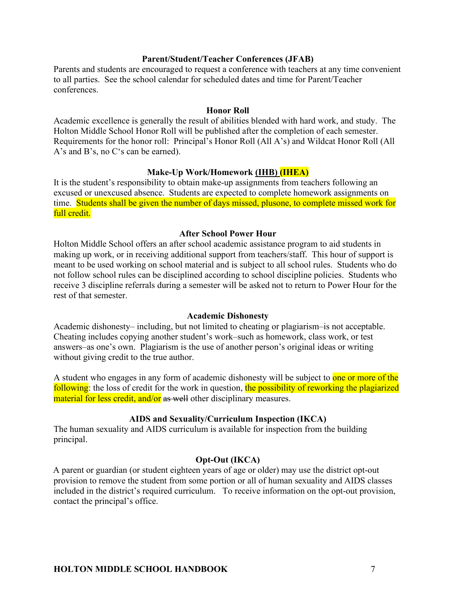#### **Parent/Student/Teacher Conferences (JFAB)**

Parents and students are encouraged to request a conference with teachers at any time convenient to all parties. See the school calendar for scheduled dates and time for Parent/Teacher conferences.

#### **Honor Roll**

Academic excellence is generally the result of abilities blended with hard work, and study. The Holton Middle School Honor Roll will be published after the completion of each semester. Requirements for the honor roll: Principal's Honor Roll (All A's) and Wildcat Honor Roll (All A's and B's, no C's can be earned).

## **Make-Up Work/Homework (IHB) (IHEA)**

It is the student's responsibility to obtain make-up assignments from teachers following an excused or unexcused absence. Students are expected to complete homework assignments on time. Students shall be given the number of days missed, plusone, to complete missed work for full credit.

#### **After School Power Hour**

Holton Middle School offers an after school academic assistance program to aid students in making up work, or in receiving additional support from teachers/staff. This hour of support is meant to be used working on school material and is subject to all school rules. Students who do not follow school rules can be disciplined according to school discipline policies. Students who receive 3 discipline referrals during a semester will be asked not to return to Power Hour for the rest of that semester.

#### **Academic Dishonesty**

Academic dishonesty– including, but not limited to cheating or plagiarism–is not acceptable. Cheating includes copying another student's work–such as homework, class work, or test answers–as one's own. Plagiarism is the use of another person's original ideas or writing without giving credit to the true author.

A student who engages in any form of academic dishonesty will be subject to one or more of the following: the loss of credit for the work in question, the possibility of reworking the plagiarized material for less credit, and/or as well other disciplinary measures.

#### **AIDS and Sexuality/Curriculum Inspection (IKCA)**

The human sexuality and AIDS curriculum is available for inspection from the building principal.

#### **Opt-Out (IKCA)**

A parent or guardian (or student eighteen years of age or older) may use the district opt-out provision to remove the student from some portion or all of human sexuality and AIDS classes included in the district's required curriculum. To receive information on the opt-out provision, contact the principal's office.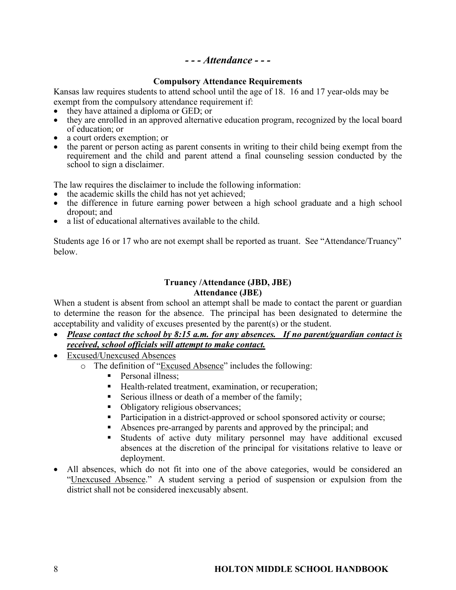## *- - - Attendance - - -*

#### **Compulsory Attendance Requirements**

Kansas law requires students to attend school until the age of 18. 16 and 17 year-olds may be exempt from the compulsory attendance requirement if:<br>
• they have attained a diploma or GED; or

- 
- they are enrolled in an approved alternative education program, recognized by the local board of education; or<br>• a court orders exemption; or<br>• the parent or person acting as parent consents in writing to their child being exempt from the
- 
- requirement and the child and parent attend a final counseling session conducted by the school to sign a disclaimer.

The law requires the disclaimer to include the following information:

- the academic skills the child has not yet achieved;
- the difference in future earning power between a high school graduate and a high school dropout; and
- a list of educational alternatives available to the child.

Students age 16 or 17 who are not exempt shall be reported as truant. See "Attendance/Truancy" below.

#### **Truancy /Attendance (JBD, JBE) Attendance (JBE)**

When a student is absent from school an attempt shall be made to contact the parent or guardian to determine the reason for the absence. The principal has been designated to determine the acceptability and validity of excuses presented by the parent(s) or the student.

- *Please contact the school by 8:15 a.m. for any absences. If no parent/guardian contact is received, school officials will attempt to make contact.*
- Excused/Unexcused Absences
	- o The definition of "Excused Absence" includes the following:
		- Personal illness;
		- Health-related treatment, examination, or recuperation;
		- Serious illness or death of a member of the family;
		- Obligatory religious observances;
		- Participation in a district-approved or school sponsored activity or course;
		- § Absences pre-arranged by parents and approved by the principal; and
		- § Students of active duty military personnel may have additional excused absences at the discretion of the principal for visitations relative to leave or deployment.
- All absences, which do not fit into one of the above categories, would be considered an "Unexcused Absence." A student serving a period of suspension or expulsion from the district shall not be considered inexcusably absent.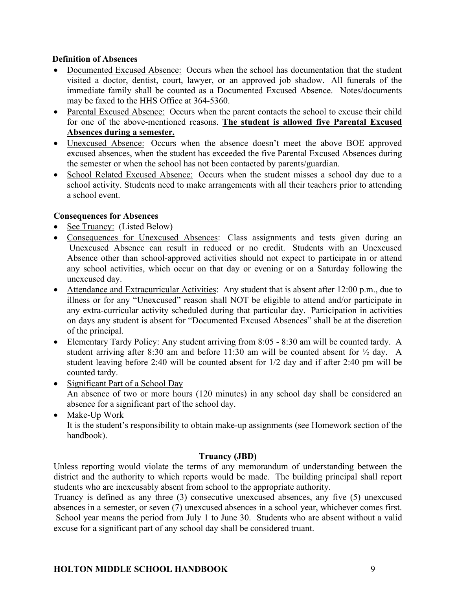## **Definition of Absences**

- Documented Excused Absence: Occurs when the school has documentation that the student visited a doctor, dentist, court, lawyer, or an approved job shadow. All funerals of the immediate family shall be counted as a Documented Excused Absence. Notes/documents may be faxed to the HHS Office at 364-5360.
- Parental Excused Absence: Occurs when the parent contacts the school to excuse their child for one of the above-mentioned reasons. **The student is allowed five Parental Excused Absences during a semester.**
- Unexcused Absence: Occurs when the absence doesn't meet the above BOE approved excused absences, when the student has exceeded the five Parental Excused Absences during the semester or when the school has not been contacted by parents/guardian.
- School Related Excused Absence: Occurs when the student misses a school day due to a school activity. Students need to make arrangements with all their teachers prior to attending a school event.

## **Consequences for Absences**

- See Truancy: (Listed Below)
- Consequences for Unexcused Absences: Class assignments and tests given during an Unexcused Absence can result in reduced or no credit. Students with an Unexcused Absence other than school-approved activities should not expect to participate in or attend any school activities, which occur on that day or evening or on a Saturday following the unexcused day.
- Attendance and Extracurricular Activities: Any student that is absent after 12:00 p.m., due to illness or for any "Unexcused" reason shall NOT be eligible to attend and/or participate in any extra-curricular activity scheduled during that particular day. Participation in activities on days any student is absent for "Documented Excused Absences" shall be at the discretion of the principal.
- Elementary Tardy Policy: Any student arriving from 8:05 8:30 am will be counted tardy. A student arriving after 8:30 am and before 11:30 am will be counted absent for  $\frac{1}{2}$  day. A student leaving before 2:40 will be counted absent for 1/2 day and if after 2:40 pm will be counted tardy.
- Significant Part of a School Day An absence of two or more hours (120 minutes) in any school day shall be considered an absence for a significant part of the school day.
- Make-Up Work It is the student's responsibility to obtain make-up assignments (see Homework section of the handbook).

#### **Truancy (JBD)**

Unless reporting would violate the terms of any memorandum of understanding between the district and the authority to which reports would be made. The building principal shall report students who are inexcusably absent from school to the appropriate authority.

Truancy is defined as any three (3) consecutive unexcused absences, any five (5) unexcused absences in a semester, or seven (7) unexcused absences in a school year, whichever comes first. School year means the period from July 1 to June 30. Students who are absent without a valid excuse for a significant part of any school day shall be considered truant.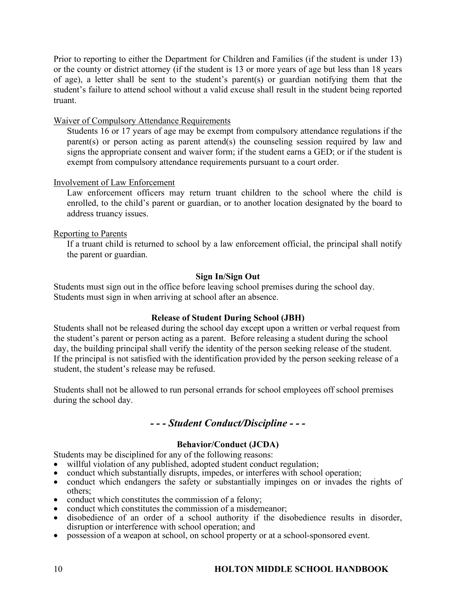Prior to reporting to either the Department for Children and Families (if the student is under 13) or the county or district attorney (if the student is 13 or more years of age but less than 18 years of age), a letter shall be sent to the student's parent(s) or guardian notifying them that the student's failure to attend school without a valid excuse shall result in the student being reported truant.

## Waiver of Compulsory Attendance Requirements

Students 16 or 17 years of age may be exempt from compulsory attendance regulations if the parent(s) or person acting as parent attend(s) the counseling session required by law and signs the appropriate consent and waiver form; if the student earns a GED; or if the student is exempt from compulsory attendance requirements pursuant to a court order.

## Involvement of Law Enforcement

Law enforcement officers may return truant children to the school where the child is enrolled, to the child's parent or guardian, or to another location designated by the board to address truancy issues.

## Reporting to Parents

If a truant child is returned to school by a law enforcement official, the principal shall notify the parent or guardian.

## **Sign In/Sign Out**

Students must sign out in the office before leaving school premises during the school day. Students must sign in when arriving at school after an absence.

#### **Release of Student During School (JBH)**

Students shall not be released during the school day except upon a written or verbal request from the student's parent or person acting as a parent. Before releasing a student during the school day, the building principal shall verify the identity of the person seeking release of the student. If the principal is not satisfied with the identification provided by the person seeking release of a student, the student's release may be refused.

Students shall not be allowed to run personal errands for school employees off school premises during the school day.

# *- - - Student Conduct/Discipline - - -*

## **Behavior/Conduct (JCDA)**

Students may be disciplined for any of the following reasons:

- willful violation of any published, adopted student conduct regulation;
- conduct which substantially disrupts, impedes, or interferes with school operation;
- conduct which endangers the safety or substantially impinges on or invades the rights of others;
- conduct which constitutes the commission of a felony;
- conduct which constitutes the commission of a misdemeanor;
- disobedience of an order of a school authority if the disobedience results in disorder, disruption or interference with school operation; and
- possession of a weapon at school, on school property or at a school-sponsored event.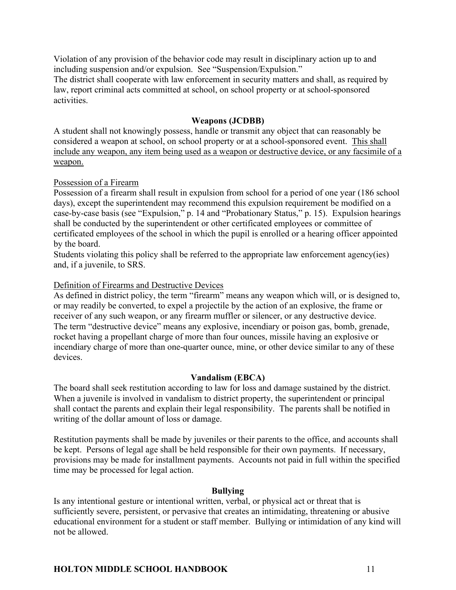Violation of any provision of the behavior code may result in disciplinary action up to and including suspension and/or expulsion. See "Suspension/Expulsion."

The district shall cooperate with law enforcement in security matters and shall, as required by law, report criminal acts committed at school, on school property or at school-sponsored activities.

## **Weapons (JCDBB)**

A student shall not knowingly possess, handle or transmit any object that can reasonably be considered a weapon at school, on school property or at a school-sponsored event. This shall include any weapon, any item being used as a weapon or destructive device, or any facsimile of a weapon.

## Possession of a Firearm

Possession of a firearm shall result in expulsion from school for a period of one year (186 school days), except the superintendent may recommend this expulsion requirement be modified on a case-by-case basis (see "Expulsion," p. 14 and "Probationary Status," p. 15). Expulsion hearings shall be conducted by the superintendent or other certificated employees or committee of certificated employees of the school in which the pupil is enrolled or a hearing officer appointed by the board.

Students violating this policy shall be referred to the appropriate law enforcement agency(ies) and, if a juvenile, to SRS.

## Definition of Firearms and Destructive Devices

As defined in district policy, the term "firearm" means any weapon which will, or is designed to, or may readily be converted, to expel a projectile by the action of an explosive, the frame or receiver of any such weapon, or any firearm muffler or silencer, or any destructive device. The term "destructive device" means any explosive, incendiary or poison gas, bomb, grenade, rocket having a propellant charge of more than four ounces, missile having an explosive or incendiary charge of more than one-quarter ounce, mine, or other device similar to any of these devices.

#### **Vandalism (EBCA)**

The board shall seek restitution according to law for loss and damage sustained by the district. When a juvenile is involved in vandalism to district property, the superintendent or principal shall contact the parents and explain their legal responsibility. The parents shall be notified in writing of the dollar amount of loss or damage.

Restitution payments shall be made by juveniles or their parents to the office, and accounts shall be kept. Persons of legal age shall be held responsible for their own payments. If necessary, provisions may be made for installment payments. Accounts not paid in full within the specified time may be processed for legal action.

#### **Bullying**

Is any intentional gesture or intentional written, verbal, or physical act or threat that is sufficiently severe, persistent, or pervasive that creates an intimidating, threatening or abusive educational environment for a student or staff member. Bullying or intimidation of any kind will not be allowed.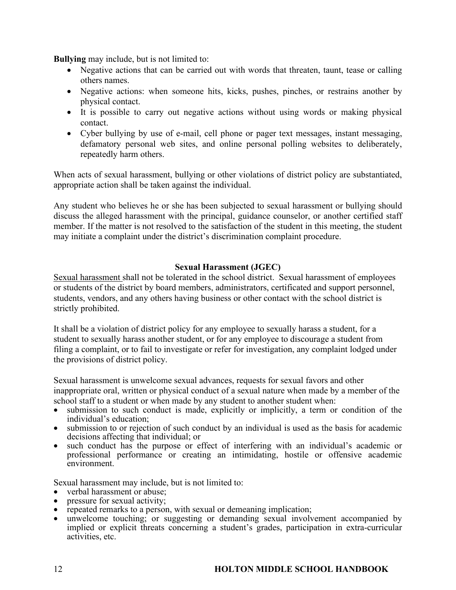**Bullying** may include, but is not limited to:

- Negative actions that can be carried out with words that threaten, taunt, tease or calling others names.
- Negative actions: when someone hits, kicks, pushes, pinches, or restrains another by physical contact.
- It is possible to carry out negative actions without using words or making physical contact.
- Cyber bullying by use of e-mail, cell phone or pager text messages, instant messaging, defamatory personal web sites, and online personal polling websites to deliberately, repeatedly harm others.

When acts of sexual harassment, bullying or other violations of district policy are substantiated, appropriate action shall be taken against the individual.

Any student who believes he or she has been subjected to sexual harassment or bullying should discuss the alleged harassment with the principal, guidance counselor, or another certified staff member. If the matter is not resolved to the satisfaction of the student in this meeting, the student may initiate a complaint under the district's discrimination complaint procedure.

## **Sexual Harassment (JGEC)**

Sexual harassment shall not be tolerated in the school district. Sexual harassment of employees or students of the district by board members, administrators, certificated and support personnel, students, vendors, and any others having business or other contact with the school district is strictly prohibited.

It shall be a violation of district policy for any employee to sexually harass a student, for a student to sexually harass another student, or for any employee to discourage a student from filing a complaint, or to fail to investigate or refer for investigation, any complaint lodged under the provisions of district policy.

Sexual harassment is unwelcome sexual advances, requests for sexual favors and other inappropriate oral, written or physical conduct of a sexual nature when made by a member of the school staff to a student or when made by any student to another student when:

- submission to such conduct is made, explicitly or implicitly, a term or condition of the individual's education;
- submission to or rejection of such conduct by an individual is used as the basis for academic decisions affecting that individual; or
- such conduct has the purpose or effect of interfering with an individual's academic or professional performance or creating an intimidating, hostile or offensive academic environment.

Sexual harassment may include, but is not limited to:

- verbal harassment or abuse;
- pressure for sexual activity;
- repeated remarks to a person, with sexual or demeaning implication;
- unwelcome touching; or suggesting or demanding sexual involvement accompanied by implied or explicit threats concerning a student's grades, participation in extra-curricular activities, etc.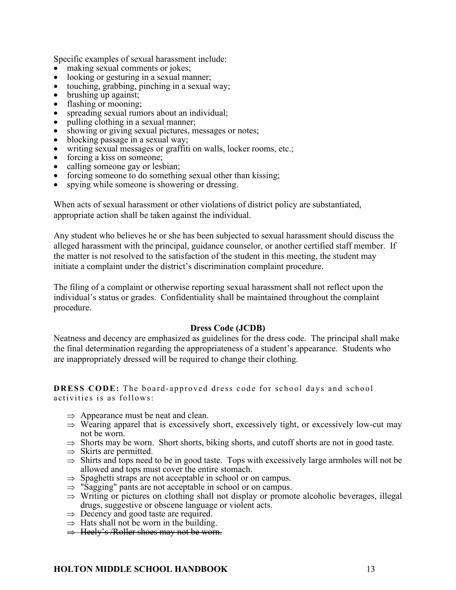Specific examples of sexual harassment include:

- making sexual comments or jokes;
- looking or gesturing in a sexual manner;
- touching, grabbing, pinching in a sexual way;
- brushing up against;
- flashing or mooning;
- spreading sexual rumors about an individual;
- pulling clothing in a sexual manner;
- showing or giving sexual pictures, messages or notes;
- blocking passage in a sexual way;
- writing sexual messages or graffiti on walls, locker rooms, etc.;
- forcing a kiss on someone;
- calling someone gay or lesbian;
- forcing someone to do something sexual other than kissing;
- spying while someone is showering or dressing.

When acts of sexual harassment or other violations of district policy are substantiated, appropriate action shall be taken against the individual.

Any student who believes he or she has been subjected to sexual harassment should discuss the alleged harassment with the principal, guidance counselor, or another certified staff member. If the matter is not resolved to the satisfaction of the student in this meeting, the student may initiate a complaint under the district's discrimination complaint procedure.

The filing of a complaint or otherwise reporting sexual harassment shall not reflect upon the individual's status or grades. Confidentiality shall be maintained throughout the complaint procedure.

#### **Dress Code (JCDB)**

Neatness and decency are emphasized as guidelines for the dress code. The principal shall make the final determination regarding the appropriateness of a student's appearance. Students who are inappropriately dressed will be required to change their clothing.

**DRESS CODE:** The board-approved dress code for school days and school activities is as follows:

- $\Rightarrow$  Appearance must be neat and clean.
- $\Rightarrow$  Wearing apparel that is excessively short, excessively tight, or excessively low-cut may not be worn.
- $\Rightarrow$  Shorts may be worn. Short shorts, biking shorts, and cutoff shorts are not in good taste.
- $\Rightarrow$  Skirts are permitted.
- $\Rightarrow$  Shirts and tops need to be in good taste. Tops with excessively large armholes will not be allowed and tops must cover the entire stomach.
- $\Rightarrow$  Spaghetti straps are not acceptable in school or on campus.
- $\Rightarrow$  "Sagging" pants are not acceptable in school or on campus.
- $\Rightarrow$  Writing or pictures on clothing shall not display or promote alcoholic beverages, illegal drugs, suggestive or obscene language or violent acts.
- $\Rightarrow$  Decency and good taste are required.
- $\Rightarrow$  Hats shall not be worn in the building.
- $\Rightarrow$  Heely's /Roller shoes may not be worn.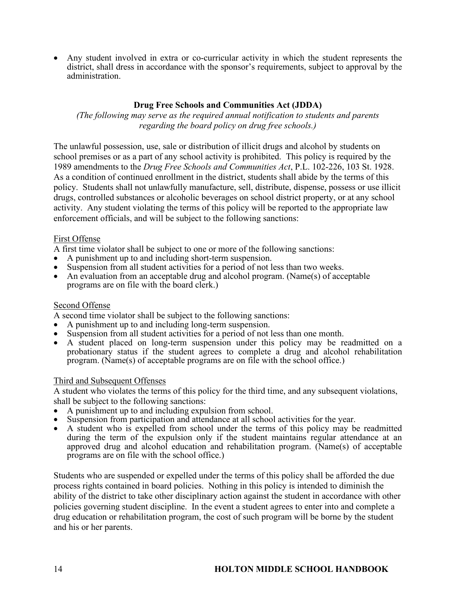• Any student involved in extra or co-curricular activity in which the student represents the district, shall dress in accordance with the sponsor's requirements, subject to approval by the administration.

## **Drug Free Schools and Communities Act (JDDA)**

*(The following may serve as the required annual notification to students and parents regarding the board policy on drug free schools.)*

The unlawful possession, use, sale or distribution of illicit drugs and alcohol by students on school premises or as a part of any school activity is prohibited. This policy is required by the 1989 amendments to the *Drug Free Schools and Communities Act*, P.L. 102-226, 103 St. 1928. As a condition of continued enrollment in the district, students shall abide by the terms of this policy. Students shall not unlawfully manufacture, sell, distribute, dispense, possess or use illicit drugs, controlled substances or alcoholic beverages on school district property, or at any school activity. Any student violating the terms of this policy will be reported to the appropriate law enforcement officials, and will be subject to the following sanctions:

## First Offense

A first time violator shall be subject to one or more of the following sanctions:

- A punishment up to and including short-term suspension.
- Suspension from all student activities for a period of not less than two weeks.
- An evaluation from an acceptable drug and alcohol program. (Name(s) of acceptable programs are on file with the board clerk.)

#### Second Offense

A second time violator shall be subject to the following sanctions:

- 
- A punishment up to and including long-term suspension.<br>Suspension from all student activities for a period of not less than one month.
- A student placed on long-term suspension under this policy may be readmitted on a probationary status if the student agrees to complete a drug and alcohol rehabilitation program. (Name(s) of acceptable programs are on file with the school office.)

#### Third and Subsequent Offenses

A student who violates the terms of this policy for the third time, and any subsequent violations, shall be subject to the following sanctions:

- A punishment up to and including expulsion from school.
- Suspension from participation and attendance at all school activities for the year.
- A student who is expelled from school under the terms of this policy may be readmitted during the term of the expulsion only if the student maintains regular attendance at an approved drug and alcohol education and rehabilitation program. (Name(s) of acceptable programs are on file with the school office.)

Students who are suspended or expelled under the terms of this policy shall be afforded the due process rights contained in board policies. Nothing in this policy is intended to diminish the ability of the district to take other disciplinary action against the student in accordance with other policies governing student discipline. In the event a student agrees to enter into and complete a drug education or rehabilitation program, the cost of such program will be borne by the student and his or her parents.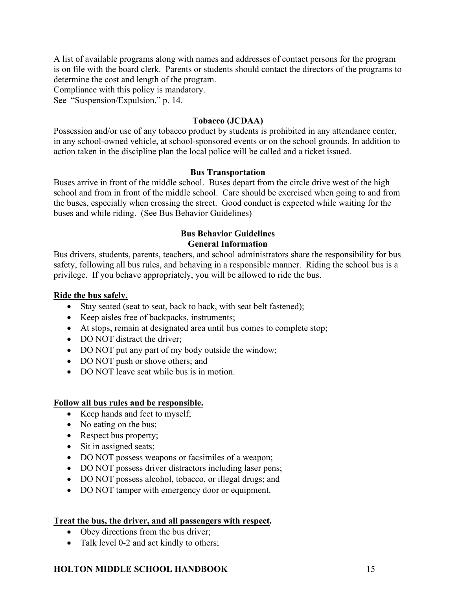A list of available programs along with names and addresses of contact persons for the program is on file with the board clerk. Parents or students should contact the directors of the programs to determine the cost and length of the program.

Compliance with this policy is mandatory.

See "Suspension/Expulsion," p. 14.

#### **Tobacco (JCDAA)**

Possession and/or use of any tobacco product by students is prohibited in any attendance center, in any school-owned vehicle, at school-sponsored events or on the school grounds. In addition to action taken in the discipline plan the local police will be called and a ticket issued.

#### **Bus Transportation**

Buses arrive in front of the middle school. Buses depart from the circle drive west of the high school and from in front of the middle school. Care should be exercised when going to and from the buses, especially when crossing the street. Good conduct is expected while waiting for the buses and while riding. (See Bus Behavior Guidelines)

## **Bus Behavior Guidelines General Information**

Bus drivers, students, parents, teachers, and school administrators share the responsibility for bus safety, following all bus rules, and behaving in a responsible manner. Riding the school bus is a privilege. If you behave appropriately, you will be allowed to ride the bus.

#### **Ride the bus safely.**

- Stay seated (seat to seat, back to back, with seat belt fastened);
- Keep aisles free of backpacks, instruments;
- At stops, remain at designated area until bus comes to complete stop;
- DO NOT distract the driver;
- DO NOT put any part of my body outside the window;
- DO NOT push or shove others; and
- DO NOT leave seat while bus is in motion.

#### **Follow all bus rules and be responsible.**

- Keep hands and feet to myself;
- No eating on the bus;
- Respect bus property;
- Sit in assigned seats;
- DO NOT possess weapons or facsimiles of a weapon;
- DO NOT possess driver distractors including laser pens;
- DO NOT possess alcohol, tobacco, or illegal drugs; and
- DO NOT tamper with emergency door or equipment.

#### **Treat the bus, the driver, and all passengers with respect.**

- Obey directions from the bus driver;
- Talk level 0-2 and act kindly to others;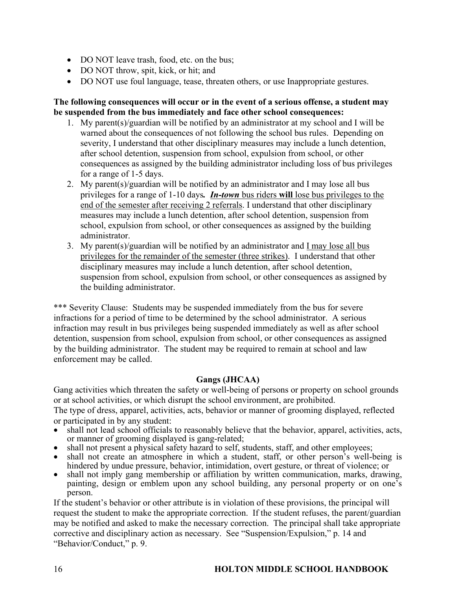- DO NOT leave trash, food, etc. on the bus;
- DO NOT throw, spit, kick, or hit; and
- DO NOT use foul language, tease, threaten others, or use Inappropriate gestures.

## **The following consequences will occur or in the event of a serious offense, a student may be suspended from the bus immediately and face other school consequences:**

- 1. My parent(s)/guardian will be notified by an administrator at my school and I will be warned about the consequences of not following the school bus rules. Depending on severity, I understand that other disciplinary measures may include a lunch detention, after school detention, suspension from school, expulsion from school, or other consequences as assigned by the building administrator including loss of bus privileges for a range of 1-5 days.
- 2. My parent(s)/guardian will be notified by an administrator and I may lose all bus privileges for a range of 1-10 days*. In-town* bus riders **will** lose bus privileges to the end of the semester after receiving 2 referrals. I understand that other disciplinary measures may include a lunch detention, after school detention, suspension from school, expulsion from school, or other consequences as assigned by the building administrator.
- 3. My parent(s)/guardian will be notified by an administrator and I may lose all bus privileges for the remainder of the semester (three strikes). I understand that other disciplinary measures may include a lunch detention, after school detention, suspension from school, expulsion from school, or other consequences as assigned by the building administrator.

\*\*\* Severity Clause: Students may be suspended immediately from the bus for severe infractions for a period of time to be determined by the school administrator. A serious infraction may result in bus privileges being suspended immediately as well as after school detention, suspension from school, expulsion from school, or other consequences as assigned by the building administrator. The student may be required to remain at school and law enforcement may be called.

# **Gangs (JHCAA)**

Gang activities which threaten the safety or well-being of persons or property on school grounds or at school activities, or which disrupt the school environment, are prohibited. The type of dress, apparel, activities, acts, behavior or manner of grooming displayed, reflected

or participated in by any student:

- shall not lead school officials to reasonably believe that the behavior, apparel, activities, acts, or manner of grooming displayed is gang-related;
- shall not present a physical safety hazard to self, students, staff, and other employees;
- shall not create an atmosphere in which a student, staff, or other person's well-being is hindered by undue pressure, behavior, intimidation, overt gesture, or threat of violence; or
- shall not imply gang membership or affiliation by written communication, marks, drawing, painting, design or emblem upon any school building, any personal property or on one's person.

If the student's behavior or other attribute is in violation of these provisions, the principal will request the student to make the appropriate correction. If the student refuses, the parent/guardian may be notified and asked to make the necessary correction. The principal shall take appropriate corrective and disciplinary action as necessary. See "Suspension/Expulsion," p. 14 and "Behavior/Conduct," p. 9.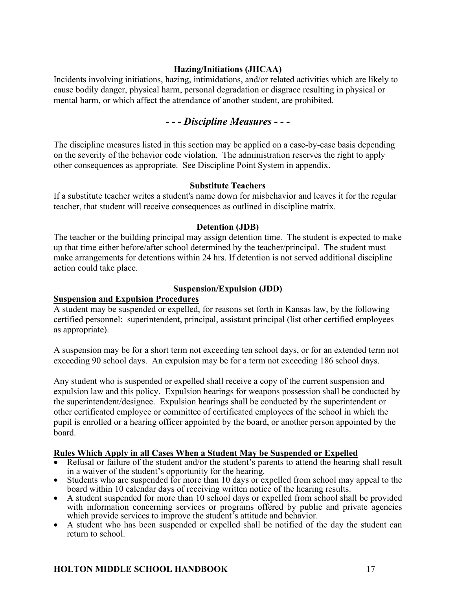## **Hazing/Initiations (JHCAA)**

Incidents involving initiations, hazing, intimidations, and/or related activities which are likely to cause bodily danger, physical harm, personal degradation or disgrace resulting in physical or mental harm, or which affect the attendance of another student, are prohibited.

# *- - - Discipline Measures - - -*

The discipline measures listed in this section may be applied on a case-by-case basis depending on the severity of the behavior code violation. The administration reserves the right to apply other consequences as appropriate. See Discipline Point System in appendix.

#### **Substitute Teachers**

If a substitute teacher writes a student's name down for misbehavior and leaves it for the regular teacher, that student will receive consequences as outlined in discipline matrix.

#### **Detention (JDB)**

The teacher or the building principal may assign detention time. The student is expected to make up that time either before/after school determined by the teacher/principal. The student must make arrangements for detentions within 24 hrs. If detention is not served additional discipline action could take place.

#### **Suspension/Expulsion (JDD)**

#### **Suspension and Expulsion Procedures**

A student may be suspended or expelled, for reasons set forth in Kansas law, by the following certified personnel: superintendent, principal, assistant principal (list other certified employees as appropriate).

A suspension may be for a short term not exceeding ten school days, or for an extended term not exceeding 90 school days. An expulsion may be for a term not exceeding 186 school days.

Any student who is suspended or expelled shall receive a copy of the current suspension and expulsion law and this policy. Expulsion hearings for weapons possession shall be conducted by the superintendent/designee. Expulsion hearings shall be conducted by the superintendent or other certificated employee or committee of certificated employees of the school in which the pupil is enrolled or a hearing officer appointed by the board, or another person appointed by the board.

#### **Rules Which Apply in all Cases When a Student May be Suspended or Expelled**

- Refusal or failure of the student and/or the student's parents to attend the hearing shall result in a waiver of the student's opportunity for the hearing.
- Students who are suspended for more than 10 days or expelled from school may appeal to the board within 10 calendar days of receiving written notice of the hearing results.
- A student suspended for more than 10 school days or expelled from school shall be provided with information concerning services or programs offered by public and private agencies which provide services to improve the student's attitude and behavior.
- A student who has been suspended or expelled shall be notified of the day the student can return to school.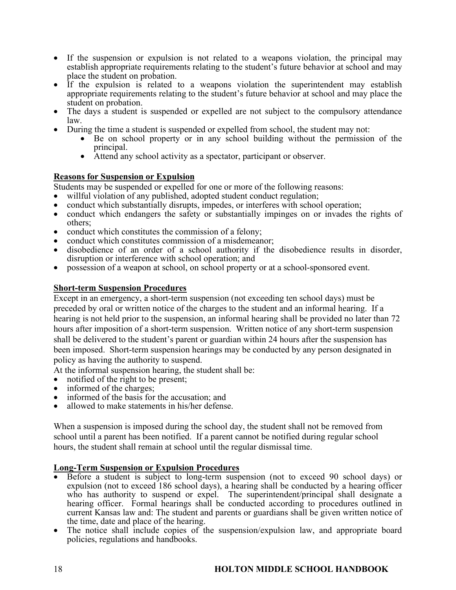- If the suspension or expulsion is not related to a weapons violation, the principal may establish appropriate requirements relating to the student's future behavior at school and may place the student on probation.
- If the expulsion is related to a weapons violation the superintendent may establish appropriate requirements relating to the student's future behavior at school and may place the student on probation. • The days a student is suspended or expelled are not subject to the compulsory attendance
- 
- law. During the time a student is suspended or expelled from school, the student may not: Be on school property or in any school building without the permission of the
	- principal. Attend any school activity as a spectator, participant or observer.
	-

## **Reasons for Suspension or Expulsion**

Students may be suspended or expelled for one or more of the following reasons:

- willful violation of any published, adopted student conduct regulation;
- conduct which substantially disrupts, impedes, or interferes with school operation;
- conduct which endangers the safety or substantially impinges on or invades the rights of others;
- conduct which constitutes the commission of a felony;
- conduct which constitutes commission of a misdemeanor;
- disobedience of an order of a school authority if the disobedience results in disorder, disruption or interference with school operation; and
- possession of a weapon at school, on school property or at a school-sponsored event.

## **Short-term Suspension Procedures**

Except in an emergency, a short-term suspension (not exceeding ten school days) must be preceded by oral or written notice of the charges to the student and an informal hearing. If a hearing is not held prior to the suspension, an informal hearing shall be provided no later than 72 hours after imposition of a short-term suspension. Written notice of any short-term suspension shall be delivered to the student's parent or guardian within 24 hours after the suspension has been imposed. Short-term suspension hearings may be conducted by any person designated in policy as having the authority to suspend.

At the informal suspension hearing, the student shall be:

- notified of the right to be present;
- informed of the charges;
- informed of the basis for the accusation; and
- allowed to make statements in his/her defense.

When a suspension is imposed during the school day, the student shall not be removed from school until a parent has been notified. If a parent cannot be notified during regular school hours, the student shall remain at school until the regular dismissal time.

## **Long-Term Suspension or Expulsion Procedures**

- Before a student is subject to long-term suspension (not to exceed 90 school days) or expulsion (not to exceed 186 school days), a hearing shall be conducted by a hearing officer who has authority to suspend or expel. The superintendent/principal shall designate a hearing officer. Formal hearings shall be conducted according to procedures outlined in current Kansas law and: The student and parents or guardians shall be given written notice of the time, date and place of the hearing.
- The notice shall include copies of the suspension/expulsion law, and appropriate board policies, regulations and handbooks.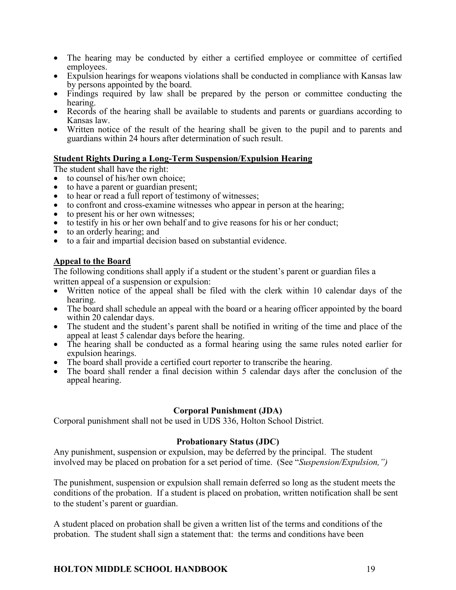- The hearing may be conducted by either a certified employee or committee of certified employees.
- Expulsion hearings for weapons violations shall be conducted in compliance with Kansas law by persons appointed by the board. • Findings required by law shall be prepared by the person or committee conducting the
- Records of the hearing shall be available to students and parents or guardians according to
- Kansas law. Written notice of the result of the hearing shall be given to the pupil and to parents and
- guardians within 24 hours after determination of such result.

## **Student Rights During a Long-Term Suspension/Expulsion Hearing**

The student shall have the right:

- to counsel of his/her own choice;
- to have a parent or guardian present;
- to hear or read a full report of testimony of witnesses;
- to confront and cross-examine witnesses who appear in person at the hearing;
- to present his or her own witnesses:
- to testify in his or her own behalf and to give reasons for his or her conduct;
- to an orderly hearing; and
- to a fair and impartial decision based on substantial evidence.

## **Appeal to the Board**

The following conditions shall apply if a student or the student's parent or guardian files a written appeal of a suspension or expulsion:

- Written notice of the appeal shall be filed with the clerk within 10 calendar days of the hearing.
- The board shall schedule an appeal with the board or a hearing officer appointed by the board within 20 calendar days.
- The student and the student's parent shall be notified in writing of the time and place of the appeal at least 5 calendar days before the hearing.
- The hearing shall be conducted as a formal hearing using the same rules noted earlier for expulsion hearings.
- The board shall provide a certified court reporter to transcribe the hearing.
- The board shall render a final decision within 5 calendar days after the conclusion of the appeal hearing.

#### **Corporal Punishment (JDA)**

Corporal punishment shall not be used in UDS 336, Holton School District.

## **Probationary Status (JDC)**

Any punishment, suspension or expulsion, may be deferred by the principal. The student involved may be placed on probation for a set period of time. (See "*Suspension/Expulsion,")*

The punishment, suspension or expulsion shall remain deferred so long as the student meets the conditions of the probation. If a student is placed on probation, written notification shall be sent to the student's parent or guardian.

A student placed on probation shall be given a written list of the terms and conditions of the probation. The student shall sign a statement that: the terms and conditions have been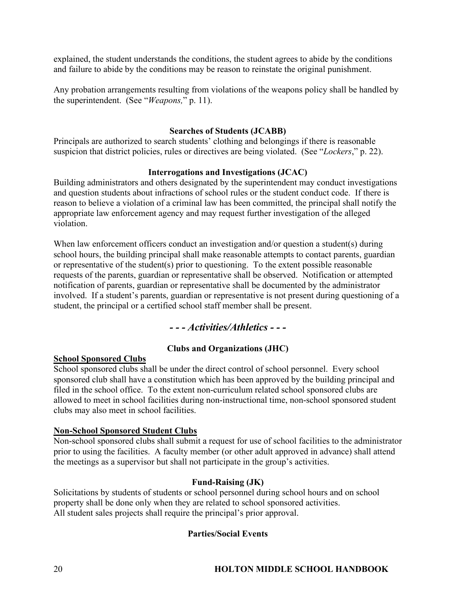explained, the student understands the conditions, the student agrees to abide by the conditions and failure to abide by the conditions may be reason to reinstate the original punishment.

Any probation arrangements resulting from violations of the weapons policy shall be handled by the superintendent. (See "*Weapons,*" p. 11).

## **Searches of Students (JCABB)**

Principals are authorized to search students' clothing and belongings if there is reasonable suspicion that district policies, rules or directives are being violated. (See "*Lockers*," p. 22).

## **Interrogations and Investigations (JCAC)**

Building administrators and others designated by the superintendent may conduct investigations and question students about infractions of school rules or the student conduct code. If there is reason to believe a violation of a criminal law has been committed, the principal shall notify the appropriate law enforcement agency and may request further investigation of the alleged violation.

When law enforcement officers conduct an investigation and/or question a student(s) during school hours, the building principal shall make reasonable attempts to contact parents, guardian or representative of the student(s) prior to questioning. To the extent possible reasonable requests of the parents, guardian or representative shall be observed. Notification or attempted notification of parents, guardian or representative shall be documented by the administrator involved. If a student's parents, guardian or representative is not present during questioning of a student, the principal or a certified school staff member shall be present.

# *- - - Activities/Athletics - - -*

## **Clubs and Organizations (JHC)**

#### **School Sponsored Clubs**

School sponsored clubs shall be under the direct control of school personnel. Every school sponsored club shall have a constitution which has been approved by the building principal and filed in the school office. To the extent non-curriculum related school sponsored clubs are allowed to meet in school facilities during non-instructional time, non-school sponsored student clubs may also meet in school facilities.

#### **Non-School Sponsored Student Clubs**

Non-school sponsored clubs shall submit a request for use of school facilities to the administrator prior to using the facilities. A faculty member (or other adult approved in advance) shall attend the meetings as a supervisor but shall not participate in the group's activities.

#### **Fund-Raising (JK)**

Solicitations by students of students or school personnel during school hours and on school property shall be done only when they are related to school sponsored activities. All student sales projects shall require the principal's prior approval.

## **Parties/Social Events**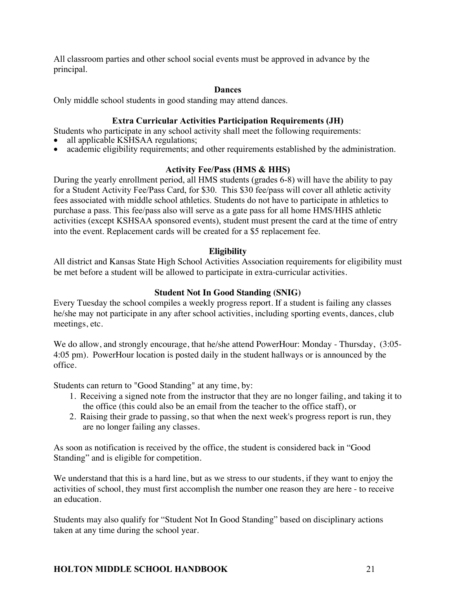All classroom parties and other school social events must be approved in advance by the principal.

#### **Dances**

Only middle school students in good standing may attend dances.

## **Extra Curricular Activities Participation Requirements (JH)**

Students who participate in any school activity shall meet the following requirements:

- all applicable KSHSAA regulations;
- academic eligibility requirements; and other requirements established by the administration.

## **Activity Fee/Pass (HMS & HHS)**

During the yearly enrollment period, all HMS students (grades 6-8) will have the ability to pay for a Student Activity Fee/Pass Card, for \$30. This \$30 fee/pass will cover all athletic activity fees associated with middle school athletics. Students do not have to participate in athletics to purchase a pass. This fee/pass also will serve as a gate pass for all home HMS/HHS athletic activities (except KSHSAA sponsored events), student must present the card at the time of entry into the event. Replacement cards will be created for a \$5 replacement fee.

## **Eligibility**

All district and Kansas State High School Activities Association requirements for eligibility must be met before a student will be allowed to participate in extra-curricular activities.

## **Student Not In Good Standing (SNIG)**

Every Tuesday the school compiles a weekly progress report. If a student is failing any classes he/she may not participate in any after school activities, including sporting events, dances, club meetings, etc.

We do allow, and strongly encourage, that he/she attend PowerHour: Monday - Thursday, (3:05-4:05 pm). PowerHour location is posted daily in the student hallways or is announced by the office.

Students can return to "Good Standing" at any time, by:

- 1. Receiving a signed note from the instructor that they are no longer failing, and taking it to the office (this could also be an email from the teacher to the office staff), or
- 2. Raising their grade to passing, so that when the next week's progress report is run, they are no longer failing any classes.

As soon as notification is received by the office, the student is considered back in "Good Standing" and is eligible for competition.

We understand that this is a hard line, but as we stress to our students, if they want to enjoy the activities of school, they must first accomplish the number one reason they are here - to receive an education.

Students may also qualify for "Student Not In Good Standing" based on disciplinary actions taken at any time during the school year.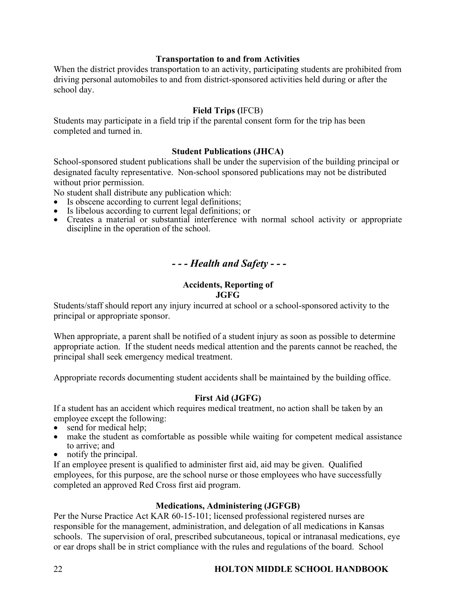## **Transportation to and from Activities**

When the district provides transportation to an activity, participating students are prohibited from driving personal automobiles to and from district-sponsored activities held during or after the school day.

## **Field Trips (**IFCB)

Students may participate in a field trip if the parental consent form for the trip has been completed and turned in.

#### **Student Publications (JHCA)**

School-sponsored student publications shall be under the supervision of the building principal or designated faculty representative. Non-school sponsored publications may not be distributed without prior permission.

No student shall distribute any publication which:

- Is obscene according to current legal definitions;
- Is libelous according to current legal definitions; or
- Creates a material or substantial interference with normal school activity or appropriate discipline in the operation of the school.

# *- - - Health and Safety - - -*

#### **Accidents, Reporting of JGFG**

Students/staff should report any injury incurred at school or a school-sponsored activity to the principal or appropriate sponsor.

When appropriate, a parent shall be notified of a student injury as soon as possible to determine appropriate action. If the student needs medical attention and the parents cannot be reached, the principal shall seek emergency medical treatment.

Appropriate records documenting student accidents shall be maintained by the building office.

#### **First Aid (JGFG)**

If a student has an accident which requires medical treatment, no action shall be taken by an employee except the following:

- send for medical help;
- make the student as comfortable as possible while waiting for competent medical assistance to arrive; and
- notify the principal.

If an employee present is qualified to administer first aid, aid may be given. Qualified employees, for this purpose, are the school nurse or those employees who have successfully completed an approved Red Cross first aid program.

#### **Medications, Administering (JGFGB)**

Per the Nurse Practice Act KAR 60-15-101; licensed professional registered nurses are responsible for the management, administration, and delegation of all medications in Kansas schools. The supervision of oral, prescribed subcutaneous, topical or intranasal medications, eye or ear drops shall be in strict compliance with the rules and regulations of the board. School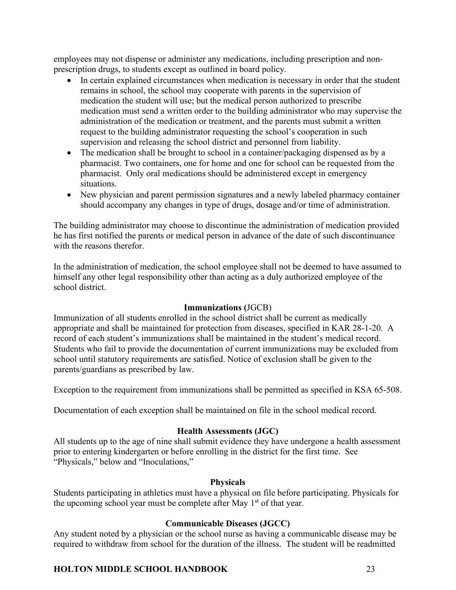employees may not dispense or administer any medications, including prescription and nonprescription drugs, to students except as outlined in board policy.

- In certain explained circumstances when medication is necessary in order that the student remains in school, the school may cooperate with parents in the supervision of medication the student will use; but the medical person authorized to prescribe medication must send a written order to the building administrator who may supervise the administration of the medication or treatment, and the parents must submit a written request to the building administrator requesting the school's cooperation in such supervision and releasing the school district and personnel from liability.
- The medication shall be brought to school in a container/packaging dispensed as by a pharmacist. Two containers, one for home and one for school can be requested from the pharmacist. Only oral medications should be administered except in emergency situations.
- New physician and parent permission signatures and a newly labeled pharmacy container should accompany any changes in type of drugs, dosage and/or time of administration.

The building administrator may choose to discontinue the administration of medication provided he has first notified the parents or medical person in advance of the date of such discontinuance with the reasons therefor.

In the administration of medication, the school employee shall not be deemed to have assumed to himself any other legal responsibility other than acting as a duly authorized employee of the school district.

## **Immunizations (**JGCB)

Immunization of all students enrolled in the school district shall be current as medically appropriate and shall be maintained for protection from diseases, specified in KAR 28-1-20. A record of each student's immunizations shall be maintained in the student's medical record. Students who fail to provide the documentation of current immunizations may be excluded from school until statutory requirements are satisfied. Notice of exclusion shall be given to the parents/guardians as prescribed by law.

Exception to the requirement from immunizations shall be permitted as specified in KSA 65-508.

Documentation of each exception shall be maintained on file in the school medical record.

## **Health Assessments (JGC)**

All students up to the age of nine shall submit evidence they have undergone a health assessment prior to entering kindergarten or before enrolling in the district for the first time. See "Physicals," below and "Inoculations,"

#### **Physicals**

Students participating in athletics must have a physical on file before participating. Physicals for the upcoming school year must be complete after May  $1<sup>st</sup>$  of that year.

## **Communicable Diseases (JGCC)**

Any student noted by a physician or the school nurse as having a communicable disease may be required to withdraw from school for the duration of the illness. The student will be readmitted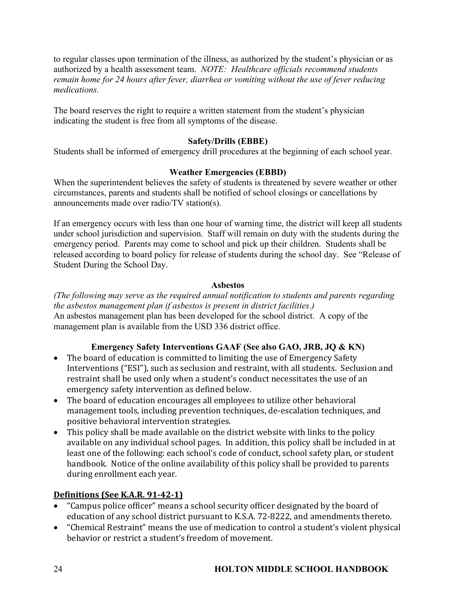to regular classes upon termination of the illness, as authorized by the student's physician or as authorized by a health assessment team. *NOTE: Healthcare officials recommend students remain home for 24 hours after fever, diarrhea or vomiting without the use of fever reducing medications.*

The board reserves the right to require a written statement from the student's physician indicating the student is free from all symptoms of the disease.

## **Safety/Drills (EBBE)**

Students shall be informed of emergency drill procedures at the beginning of each school year.

## **Weather Emergencies (EBBD)**

When the superintendent believes the safety of students is threatened by severe weather or other circumstances, parents and students shall be notified of school closings or cancellations by announcements made over radio/TV station(s).

If an emergency occurs with less than one hour of warning time, the district will keep all students under school jurisdiction and supervision. Staff will remain on duty with the students during the emergency period. Parents may come to school and pick up their children. Students shall be released according to board policy for release of students during the school day. See "Release of Student During the School Day.

## **Asbestos**

*(The following may serve as the required annual notification to students and parents regarding the asbestos management plan if asbestos is present in district facilities.)* An asbestos management plan has been developed for the school district. A copy of the management plan is available from the USD 336 district office.

# **Emergency Safety Interventions GAAF (See also GAO, JRB, JQ & KN)**

- The board of education is committed to limiting the use of Emergency Safety Interventions ("ESI"), such as seclusion and restraint, with all students. Seclusion and restraint shall be used only when a student's conduct necessitates the use of an emergency safety intervention as defined below.
- The board of education encourages all employees to utilize other behavioral management tools, including prevention techniques, de-escalation techniques, and positive behavioral intervention strategies.
- This policy shall be made available on the district website with links to the policy available on any individual school pages. In addition, this policy shall be included in at least one of the following: each school's code of conduct, school safety plan, or student handbook. Notice of the online availability of this policy shall be provided to parents during enrollment each year.

# **Definitions (See K.A.R. 91-42-1)**

- "Campus police officer" means a school security officer designated by the board of education of any school district pursuant to K.S.A. 72-8222, and amendments thereto.
- "Chemical Restraint" means the use of medication to control a student's violent physical behavior or restrict a student's freedom of movement.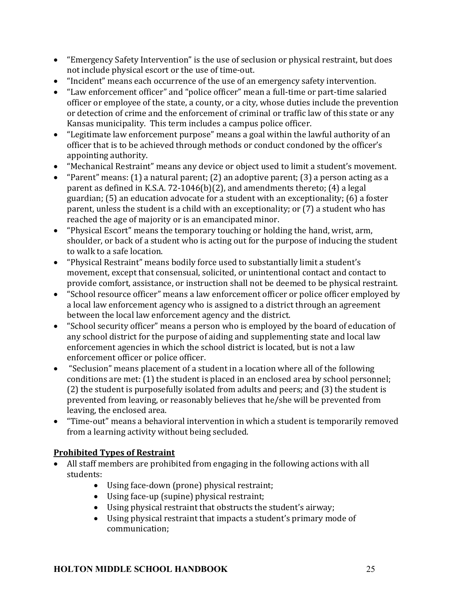- "Emergency Safety Intervention" is the use of seclusion or physical restraint, but does not include physical escort or the use of time-out.
- "Incident" means each occurrence of the use of an emergency safety intervention.
- "Law enforcement officer" and "police officer" mean a full-time or part-time salaried officer or employee of the state, a county, or a city, whose duties include the prevention or detection of crime and the enforcement of criminal or traffic law of this state or any Kansas municipality. This term includes a campus police officer.
- "Legitimate law enforcement purpose" means a goal within the lawful authority of an officer that is to be achieved through methods or conduct condoned by the officer's appointing authority.
- "Mechanical Restraint" means any device or object used to limit a student's movement.
- "Parent" means: (1) a natural parent; (2) an adoptive parent; (3) a person acting as a parent as defined in K.S.A. 72-1046(b)(2), and amendments thereto; (4) a legal guardian; (5) an education advocate for a student with an exceptionality; (6) a foster parent, unless the student is a child with an exceptionality; or (7) a student who has reached the age of majority or is an emancipated minor.
- "Physical Escort" means the temporary touching or holding the hand, wrist, arm, shoulder, or back of a student who is acting out for the purpose of inducing the student to walk to a safe location.
- "Physical Restraint" means bodily force used to substantially limit a student's movement, except that consensual, solicited, or unintentional contact and contact to provide comfort, assistance, or instruction shall not be deemed to be physical restraint.
- "School resource officer" means a law enforcement officer or police officer employed by a local law enforcement agency who is assigned to a district through an agreement between the local law enforcement agency and the district.
- "School security officer" means a person who is employed by the board of education of any school district for the purpose of aiding and supplementing state and local law enforcement agencies in which the school district is located, but is not a law enforcement officer or police officer.
- "Seclusion" means placement of a student in a location where all of the following conditions are met: (1) the student is placed in an enclosed area by school personnel;  $(2)$  the student is purposefully isolated from adults and peers; and  $(3)$  the student is prevented from leaving, or reasonably believes that he/she will be prevented from leaving, the enclosed area.
- "Time-out" means a behavioral intervention in which a student is temporarily removed from a learning activity without being secluded.

# **Prohibited Types of Restraint**

- All staff members are prohibited from engaging in the following actions with all students:
	- Using face-down (prone) physical restraint;
	- Using face-up (supine) physical restraint;
	- Using physical restraint that obstructs the student's airway;
	- Using physical restraint that impacts a student's primary mode of communication;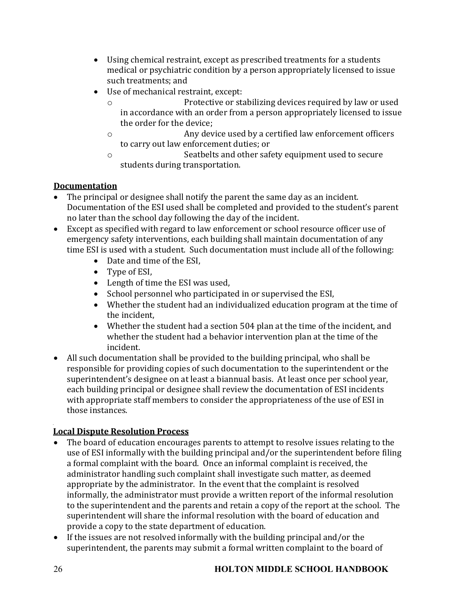- Using chemical restraint, except as prescribed treatments for a students medical or psychiatric condition by a person appropriately licensed to issue such treatments; and
- Use of mechanical restraint, except:
	- o **Protective or stabilizing devices required by law or used** in accordance with an order from a person appropriately licensed to issue the order for the device;
	- o Any device used by a certified law enforcement officers to carry out law enforcement duties; or
	- $\circ$  Seatbelts and other safety equipment used to secure students during transportation.

# **Documentation**

- The principal or designee shall notify the parent the same day as an incident. Documentation of the ESI used shall be completed and provided to the student's parent no later than the school day following the day of the incident.
- Except as specified with regard to law enforcement or school resource officer use of emergency safety interventions, each building shall maintain documentation of any time ESI is used with a student. Such documentation must include all of the following:
	- Date and time of the ESI,
	- Type of ESI,
	- Length of time the ESI was used,
	- School personnel who participated in or supervised the ESI,
	- Whether the student had an individualized education program at the time of the incident.
	- Whether the student had a section 504 plan at the time of the incident, and whether the student had a behavior intervention plan at the time of the incident.
- All such documentation shall be provided to the building principal, who shall be responsible for providing copies of such documentation to the superintendent or the superintendent's designee on at least a biannual basis. At least once per school year, each building principal or designee shall review the documentation of ESI incidents with appropriate staff members to consider the appropriateness of the use of ESI in those instances.

# **Local Dispute Resolution Process**

- The board of education encourages parents to attempt to resolve issues relating to the use of ESI informally with the building principal and/or the superintendent before filing a formal complaint with the board. Once an informal complaint is received, the administrator handling such complaint shall investigate such matter, as deemed appropriate by the administrator. In the event that the complaint is resolved informally, the administrator must provide a written report of the informal resolution to the superintendent and the parents and retain a copy of the report at the school. The superintendent will share the informal resolution with the board of education and provide a copy to the state department of education.
- If the issues are not resolved informally with the building principal and/or the superintendent, the parents may submit a formal written complaint to the board of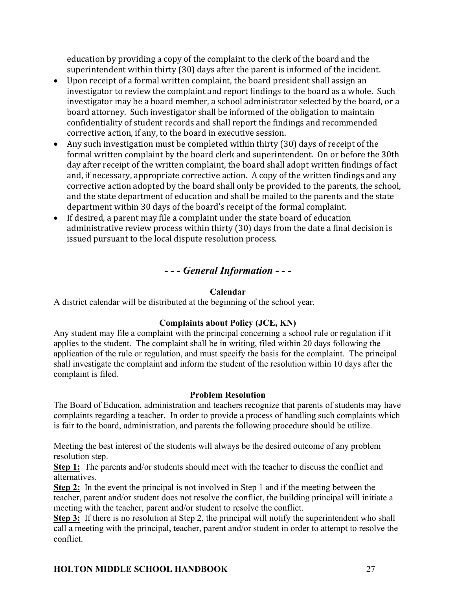education by providing a copy of the complaint to the clerk of the board and the superintendent within thirty (30) days after the parent is informed of the incident.

- Upon receipt of a formal written complaint, the board president shall assign an investigator to review the complaint and report findings to the board as a whole. Such investigator may be a board member, a school administrator selected by the board, or a board attorney. Such investigator shall be informed of the obligation to maintain confidentiality of student records and shall report the findings and recommended corrective action, if any, to the board in executive session.
- Any such investigation must be completed within thirty  $(30)$  days of receipt of the formal written complaint by the board clerk and superintendent. On or before the 30th day after receipt of the written complaint, the board shall adopt written findings of fact and, if necessary, appropriate corrective action. A copy of the written findings and any corrective action adopted by the board shall only be provided to the parents, the school, and the state department of education and shall be mailed to the parents and the state department within 30 days of the board's receipt of the formal complaint.
- If desired, a parent may file a complaint under the state board of education administrative review process within thirty  $(30)$  days from the date a final decision is issued pursuant to the local dispute resolution process.

# *- - - General Information - - -*

## **Calendar**

A district calendar will be distributed at the beginning of the school year.

# **Complaints about Policy (JCE, KN)**

Any student may file a complaint with the principal concerning a school rule or regulation if it applies to the student. The complaint shall be in writing, filed within 20 days following the application of the rule or regulation, and must specify the basis for the complaint. The principal shall investigate the complaint and inform the student of the resolution within 10 days after the complaint is filed.

## **Problem Resolution**

The Board of Education, administration and teachers recognize that parents of students may have complaints regarding a teacher. In order to provide a process of handling such complaints which is fair to the board, administration, and parents the following procedure should be utilize.

Meeting the best interest of the students will always be the desired outcome of any problem resolution step.

**Step 1:** The parents and/or students should meet with the teacher to discuss the conflict and alternatives.

**Step 2:** In the event the principal is not involved in Step 1 and if the meeting between the teacher, parent and/or student does not resolve the conflict, the building principal will initiate a meeting with the teacher, parent and/or student to resolve the conflict.

**Step 3:** If there is no resolution at Step 2, the principal will notify the superintendent who shall call a meeting with the principal, teacher, parent and/or student in order to attempt to resolve the conflict.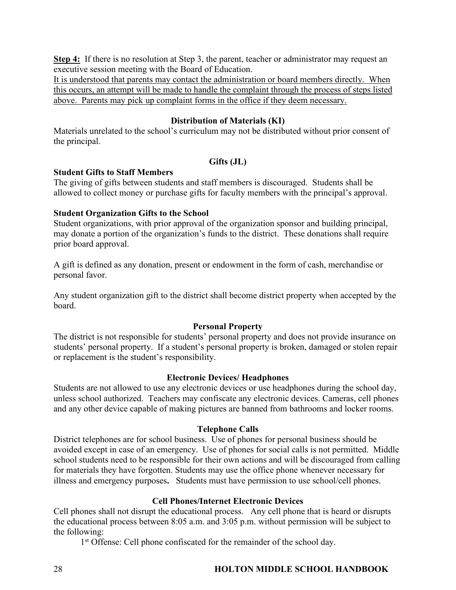**Step 4:** If there is no resolution at Step 3, the parent, teacher or administrator may request an executive session meeting with the Board of Education.

It is understood that parents may contact the administration or board members directly. When this occurs, an attempt will be made to handle the complaint through the process of steps listed above. Parents may pick up complaint forms in the office if they deem necessary.

## **Distribution of Materials (KI)**

Materials unrelated to the school's curriculum may not be distributed without prior consent of the principal.

## **Gifts (JL)**

## **Student Gifts to Staff Members**

The giving of gifts between students and staff members is discouraged. Students shall be allowed to collect money or purchase gifts for faculty members with the principal's approval.

## **Student Organization Gifts to the School**

Student organizations, with prior approval of the organization sponsor and building principal, may donate a portion of the organization's funds to the district. These donations shall require prior board approval.

A gift is defined as any donation, present or endowment in the form of cash, merchandise or personal favor.

Any student organization gift to the district shall become district property when accepted by the board.

## **Personal Property**

The district is not responsible for students' personal property and does not provide insurance on students' personal property. If a student's personal property is broken, damaged or stolen repair or replacement is the student's responsibility.

#### **Electronic Devices/ Headphones**

Students are not allowed to use any electronic devices or use headphones during the school day, unless school authorized. Teachers may confiscate any electronic devices. Cameras, cell phones and any other device capable of making pictures are banned from bathrooms and locker rooms.

## **Telephone Calls**

District telephones are for school business. Use of phones for personal business should be avoided except in case of an emergency. Use of phones for social calls is not permitted. Middle school students need to be responsible for their own actions and will be discouraged from calling for materials they have forgotten. Students may use the office phone whenever necessary for illness and emergency purposes**.** Students must have permission to use school/cell phones.

## **Cell Phones/Internet Electronic Devices**

Cell phones shall not disrupt the educational process. Any cell phone that is heard or disrupts the educational process between 8:05 a.m. and 3:05 p.m. without permission will be subject to the following:

1<sup>st</sup> Offense: Cell phone confiscated for the remainder of the school day.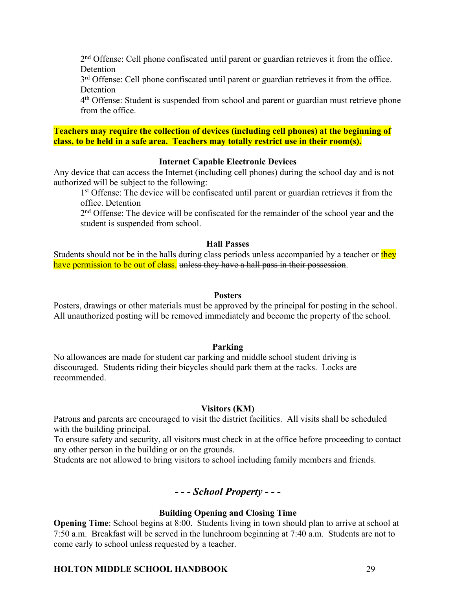2nd Offense: Cell phone confiscated until parent or guardian retrieves it from the office. **Detention** 

3rd Offense: Cell phone confiscated until parent or guardian retrieves it from the office. Detention

4th Offense: Student is suspended from school and parent or guardian must retrieve phone from the office.

**Teachers may require the collection of devices (including cell phones) at the beginning of class, to be held in a safe area. Teachers may totally restrict use in their room(s).**

#### **Internet Capable Electronic Devices**

Any device that can access the Internet (including cell phones) during the school day and is not authorized will be subject to the following:

1<sup>st</sup> Offense: The device will be confiscated until parent or guardian retrieves it from the office. Detention

2<sup>nd</sup> Offense: The device will be confiscated for the remainder of the school year and the student is suspended from school.

#### **Hall Passes**

Students should not be in the halls during class periods unless accompanied by a teacher or they have permission to be out of class, unless they have a hall pass in their possession.

#### **Posters**

Posters, drawings or other materials must be approved by the principal for posting in the school. All unauthorized posting will be removed immediately and become the property of the school.

#### **Parking**

No allowances are made for student car parking and middle school student driving is discouraged. Students riding their bicycles should park them at the racks. Locks are recommended.

#### **Visitors (KM)**

Patrons and parents are encouraged to visit the district facilities. All visits shall be scheduled with the building principal.

To ensure safety and security, all visitors must check in at the office before proceeding to contact any other person in the building or on the grounds.

Students are not allowed to bring visitors to school including family members and friends.

## *- - - School Property - - -*

#### **Building Opening and Closing Time**

**Opening Time**: School begins at 8:00.Students living in town should plan to arrive at school at 7:50 a.m. Breakfast will be served in the lunchroom beginning at 7:40 a.m. Students are not to come early to school unless requested by a teacher.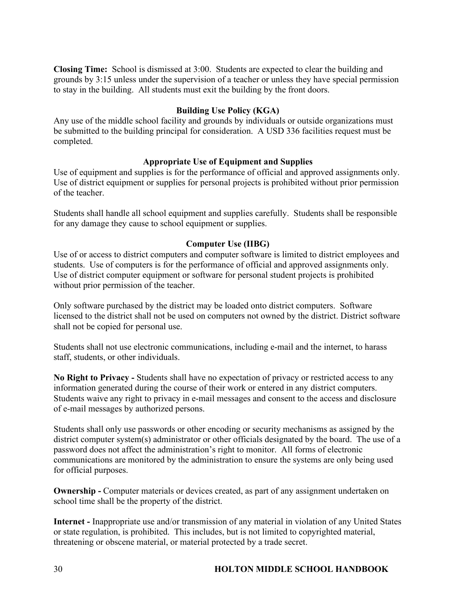**Closing Time:** School is dismissed at 3:00. Students are expected to clear the building and grounds by 3:15 unless under the supervision of a teacher or unless they have special permission to stay in the building. All students must exit the building by the front doors.

## **Building Use Policy (KGA)**

Any use of the middle school facility and grounds by individuals or outside organizations must be submitted to the building principal for consideration. A USD 336 facilities request must be completed.

## **Appropriate Use of Equipment and Supplies**

Use of equipment and supplies is for the performance of official and approved assignments only. Use of district equipment or supplies for personal projects is prohibited without prior permission of the teacher.

Students shall handle all school equipment and supplies carefully. Students shall be responsible for any damage they cause to school equipment or supplies.

## **Computer Use (IIBG)**

Use of or access to district computers and computer software is limited to district employees and students. Use of computers is for the performance of official and approved assignments only. Use of district computer equipment or software for personal student projects is prohibited without prior permission of the teacher.

Only software purchased by the district may be loaded onto district computers. Software licensed to the district shall not be used on computers not owned by the district. District software shall not be copied for personal use.

Students shall not use electronic communications, including e-mail and the internet, to harass staff, students, or other individuals.

**No Right to Privacy -** Students shall have no expectation of privacy or restricted access to any information generated during the course of their work or entered in any district computers. Students waive any right to privacy in e-mail messages and consent to the access and disclosure of e-mail messages by authorized persons.

Students shall only use passwords or other encoding or security mechanisms as assigned by the district computer system(s) administrator or other officials designated by the board. The use of a password does not affect the administration's right to monitor. All forms of electronic communications are monitored by the administration to ensure the systems are only being used for official purposes.

**Ownership -** Computer materials or devices created, as part of any assignment undertaken on school time shall be the property of the district.

**Internet -** Inappropriate use and/or transmission of any material in violation of any United States or state regulation, is prohibited. This includes, but is not limited to copyrighted material, threatening or obscene material, or material protected by a trade secret.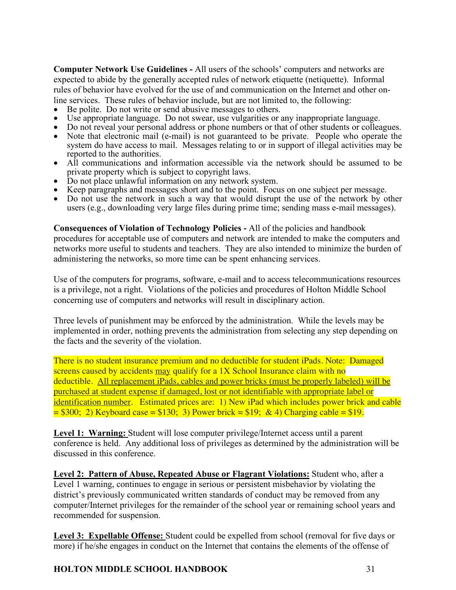**Computer Network Use Guidelines -** All users of the schools' computers and networks are expected to abide by the generally accepted rules of network etiquette (netiquette). Informal rules of behavior have evolved for the use of and communication on the Internet and other online services. These rules of behavior include, but are not limited to, the following:

- 
- 
- Be polite. Do not write or send abusive messages to others.<br>Use appropriate language. Do not swear, use vulgarities or any inappropriate language.<br>Do not reveal your personal address or phone numbers or that of other stude
- system do have access to mail. Messages relating to or in support of illegal activities may be
- All communications and information accessible via the network should be assumed to be private property which is subject to copyright laws.
- 
- Do not place unlawful information on any network system.<br>• Keep paragraphs and messages short and to the point. Focus on one subject per message.<br>• Do not use the network in such a way that would disrupt the use of the n
- users (e.g., downloading very large files during prime time; sending mass e-mail messages).

**Consequences of Violation of Technology Policies -** All of the policies and handbook

procedures for acceptable use of computers and network are intended to make the computers and networks more useful to students and teachers. They are also intended to minimize the burden of administering the networks, so more time can be spent enhancing services.

Use of the computers for programs, software, e-mail and to access telecommunications resources is a privilege, not a right. Violations of the policies and procedures of Holton Middle School concerning use of computers and networks will result in disciplinary action.

Three levels of punishment may be enforced by the administration. While the levels may be implemented in order, nothing prevents the administration from selecting any step depending on the facts and the severity of the violation.

There is no student insurance premium and no deductible for student iPads. Note: Damaged screens caused by accidents may qualify for a 1X School Insurance claim with no deductible. All replacement iPads, cables and power bricks (must be properly labeled) will be purchased at student expense if damaged, lost or not identifiable with appropriate label or identification number. Estimated prices are: 1) New iPad which includes power brick and cable  $= $300$ ; 2) Keyboard case  $= $130$ ; 3) Power brick  $= $19$ ; & 4) Charging cable  $= $19$ .

Level 1: Warning: Student will lose computer privilege/Internet access until a parent conference is held. Any additional loss of privileges as determined by the administration will be discussed in this conference.

**Level 2: Pattern of Abuse, Repeated Abuse or Flagrant Violations:** Student who, after a Level 1 warning, continues to engage in serious or persistent misbehavior by violating the district's previously communicated written standards of conduct may be removed from any computer/Internet privileges for the remainder of the school year or remaining school years and recommended for suspension.

**Level 3: Expellable Offense:** Student could be expelled from school (removal for five days or more) if he/she engages in conduct on the Internet that contains the elements of the offense of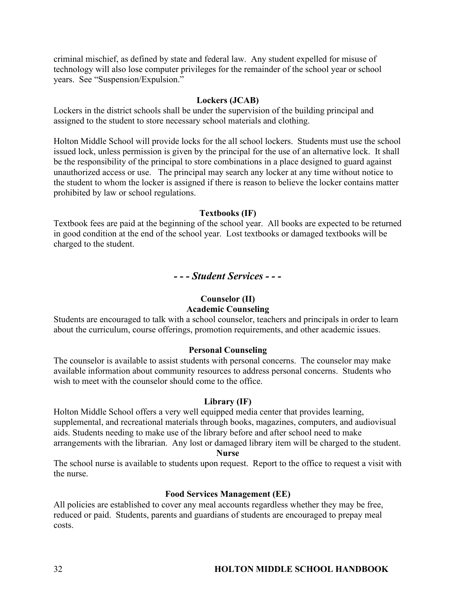criminal mischief, as defined by state and federal law. Any student expelled for misuse of technology will also lose computer privileges for the remainder of the school year or school years. See "Suspension/Expulsion."

#### **Lockers (JCAB)**

Lockers in the district schools shall be under the supervision of the building principal and assigned to the student to store necessary school materials and clothing.

Holton Middle School will provide locks for the all school lockers. Students must use the school issued lock, unless permission is given by the principal for the use of an alternative lock. It shall be the responsibility of the principal to store combinations in a place designed to guard against unauthorized access or use. The principal may search any locker at any time without notice to the student to whom the locker is assigned if there is reason to believe the locker contains matter prohibited by law or school regulations.

#### **Textbooks (IF)**

Textbook fees are paid at the beginning of the school year. All books are expected to be returned in good condition at the end of the school year. Lost textbooks or damaged textbooks will be charged to the student.

## *- - - Student Services - - -*

#### **Counselor (II)**

## **Academic Counseling**

Students are encouraged to talk with a school counselor, teachers and principals in order to learn about the curriculum, course offerings, promotion requirements, and other academic issues.

#### **Personal Counseling**

The counselor is available to assist students with personal concerns. The counselor may make available information about community resources to address personal concerns. Students who wish to meet with the counselor should come to the office.

#### **Library (IF)**

Holton Middle School offers a very well equipped media center that provides learning, supplemental, and recreational materials through books, magazines, computers, and audiovisual aids. Students needing to make use of the library before and after school need to make arrangements with the librarian. Any lost or damaged library item will be charged to the student. **Nurse**

The school nurse is available to students upon request. Report to the office to request a visit with the nurse.

#### **Food Services Management (EE)**

All policies are established to cover any meal accounts regardless whether they may be free, reduced or paid. Students, parents and guardians of students are encouraged to prepay meal costs.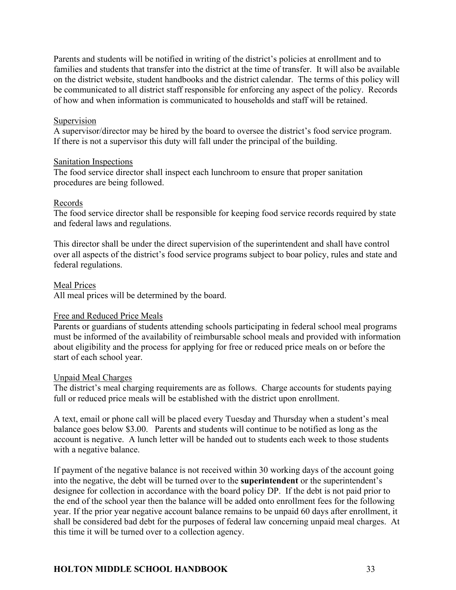Parents and students will be notified in writing of the district's policies at enrollment and to families and students that transfer into the district at the time of transfer. It will also be available on the district website, student handbooks and the district calendar. The terms of this policy will be communicated to all district staff responsible for enforcing any aspect of the policy. Records of how and when information is communicated to households and staff will be retained.

#### Supervision

A supervisor/director may be hired by the board to oversee the district's food service program. If there is not a supervisor this duty will fall under the principal of the building.

#### Sanitation Inspections

The food service director shall inspect each lunchroom to ensure that proper sanitation procedures are being followed.

#### Records

The food service director shall be responsible for keeping food service records required by state and federal laws and regulations.

This director shall be under the direct supervision of the superintendent and shall have control over all aspects of the district's food service programs subject to boar policy, rules and state and federal regulations.

#### Meal Prices

All meal prices will be determined by the board.

#### Free and Reduced Price Meals

Parents or guardians of students attending schools participating in federal school meal programs must be informed of the availability of reimbursable school meals and provided with information about eligibility and the process for applying for free or reduced price meals on or before the start of each school year.

#### Unpaid Meal Charges

The district's meal charging requirements are as follows. Charge accounts for students paying full or reduced price meals will be established with the district upon enrollment.

A text, email or phone call will be placed every Tuesday and Thursday when a student's meal balance goes below \$3.00. Parents and students will continue to be notified as long as the account is negative. A lunch letter will be handed out to students each week to those students with a negative balance.

If payment of the negative balance is not received within 30 working days of the account going into the negative, the debt will be turned over to the **superintendent** or the superintendent's designee for collection in accordance with the board policy DP. If the debt is not paid prior to the end of the school year then the balance will be added onto enrollment fees for the following year. If the prior year negative account balance remains to be unpaid 60 days after enrollment, it shall be considered bad debt for the purposes of federal law concerning unpaid meal charges. At this time it will be turned over to a collection agency.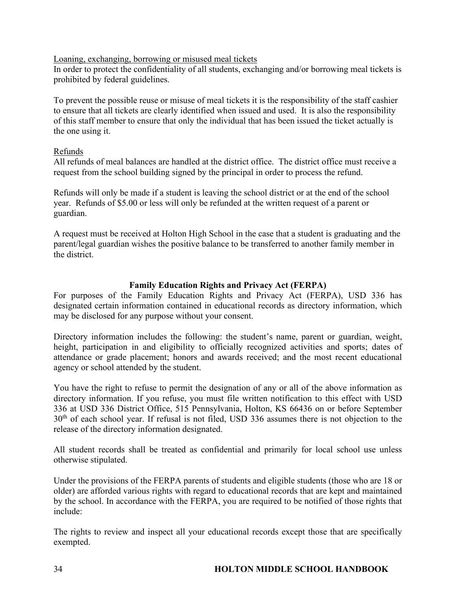Loaning, exchanging, borrowing or misused meal tickets

In order to protect the confidentiality of all students, exchanging and/or borrowing meal tickets is prohibited by federal guidelines.

To prevent the possible reuse or misuse of meal tickets it is the responsibility of the staff cashier to ensure that all tickets are clearly identified when issued and used. It is also the responsibility of this staff member to ensure that only the individual that has been issued the ticket actually is the one using it.

## Refunds

All refunds of meal balances are handled at the district office. The district office must receive a request from the school building signed by the principal in order to process the refund.

Refunds will only be made if a student is leaving the school district or at the end of the school year. Refunds of \$5.00 or less will only be refunded at the written request of a parent or guardian.

A request must be received at Holton High School in the case that a student is graduating and the parent/legal guardian wishes the positive balance to be transferred to another family member in the district.

## **Family Education Rights and Privacy Act (FERPA)**

For purposes of the Family Education Rights and Privacy Act (FERPA), USD 336 has designated certain information contained in educational records as directory information, which may be disclosed for any purpose without your consent.

Directory information includes the following: the student's name, parent or guardian, weight, height, participation in and eligibility to officially recognized activities and sports; dates of attendance or grade placement; honors and awards received; and the most recent educational agency or school attended by the student.

You have the right to refuse to permit the designation of any or all of the above information as directory information. If you refuse, you must file written notification to this effect with USD 336 at USD 336 District Office, 515 Pennsylvania, Holton, KS 66436 on or before September 30th of each school year. If refusal is not filed, USD 336 assumes there is not objection to the release of the directory information designated.

All student records shall be treated as confidential and primarily for local school use unless otherwise stipulated.

Under the provisions of the FERPA parents of students and eligible students (those who are 18 or older) are afforded various rights with regard to educational records that are kept and maintained by the school. In accordance with the FERPA, you are required to be notified of those rights that include:

The rights to review and inspect all your educational records except those that are specifically exempted.